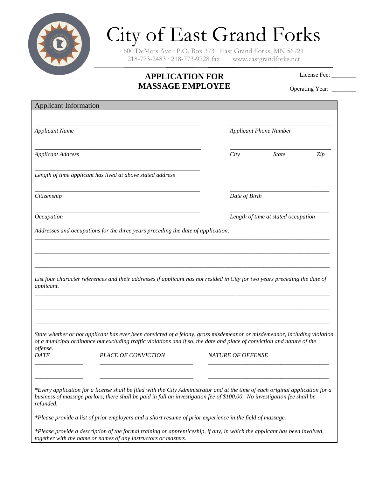

## City of East Grand Forks

600 DeMers Ave ∙ P.O. Box 373 ∙ East Grand Forks, MN 56721 218-773-2483 ∙ 218-773-9728 fax www.eastgrandforks.net

## **APPLICATION FOR MASSAGE EMPLOYEE**

License Fee:

Operating Year: \_\_\_\_\_\_

| <b>Applicant Information</b> |                                                                                                                                                                                                                                                            |                          |                                     |     |  |
|------------------------------|------------------------------------------------------------------------------------------------------------------------------------------------------------------------------------------------------------------------------------------------------------|--------------------------|-------------------------------------|-----|--|
|                              |                                                                                                                                                                                                                                                            |                          |                                     |     |  |
| <b>Applicant Name</b>        |                                                                                                                                                                                                                                                            |                          | <b>Applicant Phone Number</b>       |     |  |
| <b>Applicant Address</b>     |                                                                                                                                                                                                                                                            | City                     | <b>State</b>                        | Zip |  |
|                              | Length of time applicant has lived at above stated address                                                                                                                                                                                                 |                          |                                     |     |  |
| Citizenship                  |                                                                                                                                                                                                                                                            |                          | Date of Birth                       |     |  |
| Occupation                   |                                                                                                                                                                                                                                                            |                          | Length of time at stated occupation |     |  |
|                              | Addresses and occupations for the three years preceding the date of application:                                                                                                                                                                           |                          |                                     |     |  |
| applicant.                   | State whether or not applicant has ever been convicted of a felony, gross misdemeanor or misdemeanor, including violation                                                                                                                                  |                          |                                     |     |  |
| offense.                     | of a municipal ordinance but excluding traffic violations and if so, the date and place of conviction and nature of the                                                                                                                                    |                          |                                     |     |  |
| <b>DATE</b>                  | PLACE OF CONVICTION                                                                                                                                                                                                                                        | <b>NATURE OF OFFENSE</b> |                                     |     |  |
| refunded.                    | *Every application for a license shall be filed with the City Administrator and at the time of each original application for a<br>business of massage parlors, there shall be paid in full an investigation fee of \$100.00. No investigation fee shall be |                          |                                     |     |  |
|                              | *Please provide a list of prior employers and a short resume of prior experience in the field of massage.                                                                                                                                                  |                          |                                     |     |  |
|                              | *Please provide a description of the formal training or apprenticeship, if any, in which the applicant has been involved,<br>together with the name or names of any instructors or masters.                                                                |                          |                                     |     |  |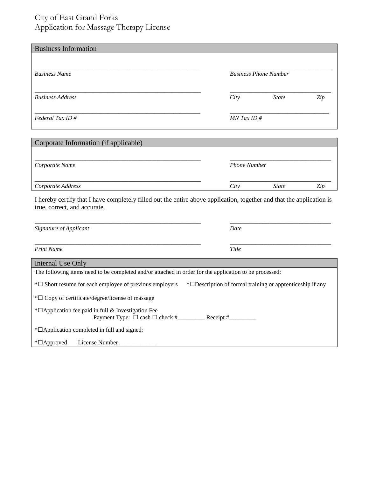## City of East Grand Forks Application for Massage Therapy License

| <b>Business Phone Number</b> |     |  |
|------------------------------|-----|--|
| <b>State</b>                 | Zip |  |
| $MN$ Tax ID #                |     |  |
|                              |     |  |
|                              |     |  |

| Corporate Name    | <b>Phone Number</b> |              |     |  |  |  |
|-------------------|---------------------|--------------|-----|--|--|--|
| Corporate Address | City                | <b>State</b> | Zip |  |  |  |

I hereby certify that I have completely filled out the entire above application, together and that the application is true, correct, and accurate.

| Signature of Applicant                                                                                                                 | Date        |  |  |
|----------------------------------------------------------------------------------------------------------------------------------------|-------------|--|--|
|                                                                                                                                        |             |  |  |
| <b>Print Name</b>                                                                                                                      | Title       |  |  |
| Internal Use Only                                                                                                                      |             |  |  |
| The following items need to be completed and/or attached in order for the application to be processed:                                 |             |  |  |
| $*\Box$ Short resume for each employee of previous employers<br>* <sup>D</sup> Description of formal training or apprenticeship if any |             |  |  |
| $*\Box$ Copy of certificate/degree/license of massage                                                                                  |             |  |  |
| $*$ $\Box$ Application fee paid in full & Investigation Fee<br>Payment Type: $\Box$ cash $\Box$ check #                                | Receipt $#$ |  |  |
| $*$ $\Box$ Application completed in full and signed:                                                                                   |             |  |  |
| $*$ $\Box$ Approved<br>License Number                                                                                                  |             |  |  |